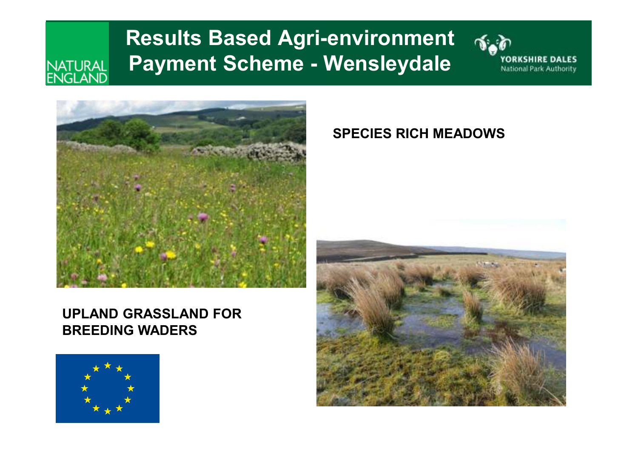#### **Results Based Agri-environment Payment Scheme - Wensleydale** NATURAL<br>ENGLAND





#### **UPLAND GRASSLAND FOR BREEDING WADERS**



#### **SPECIES RICH MEADOWS**

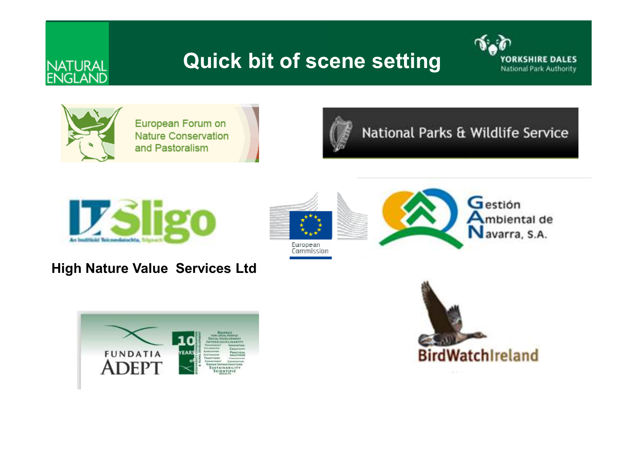## **Quick bit of scene setting**





**NATURAL**<br>ENGLAND

European Forum on **Nature Conservation** and Pastoralism



National Parks & Wildlife Service



#### **High Nature Value Services Ltd**





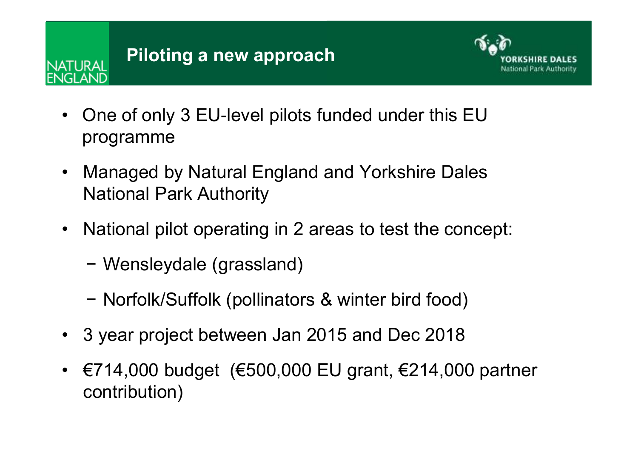ATI IRAI



- One of only 3 EU-level pilots funded under this EU programme
- $\bullet$  Managed by Natural England and Yorkshire Dales National Park Authority
- National pilot operating in 2 areas to test the concept:
	- −Wensleydale (grassland)
	- Norfolk/Suffolk (pollinators & winter bird food)
- 3 year project between Jan 2015 and Dec 2018
- $€714,000$  budget  $(€500,000$  EU grant,  $€214,000$  partner contribution)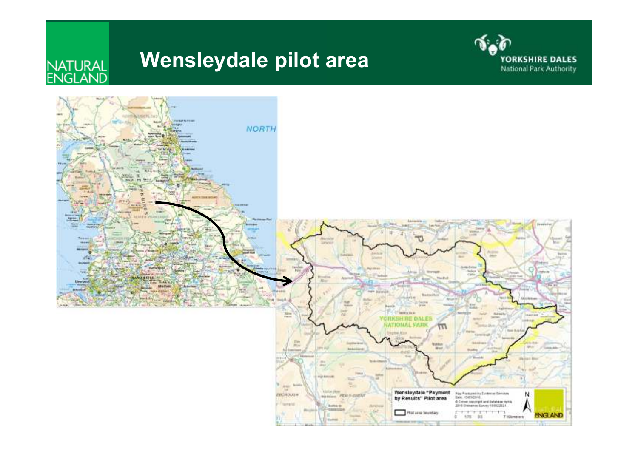## **Wensleydale pilot area**



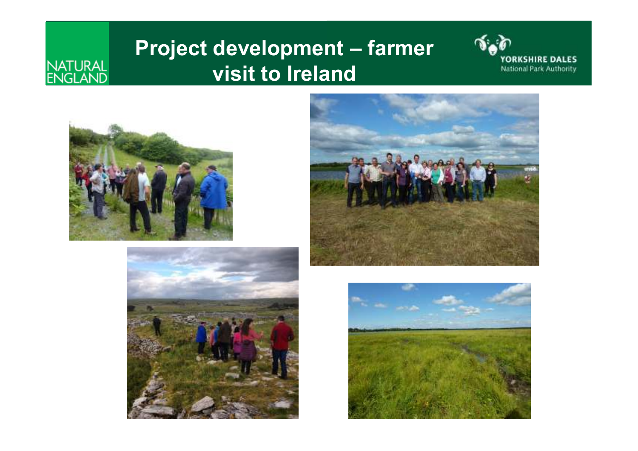### **Project development – farmer visit to Ireland**





NATURAL<br>ENGLAND





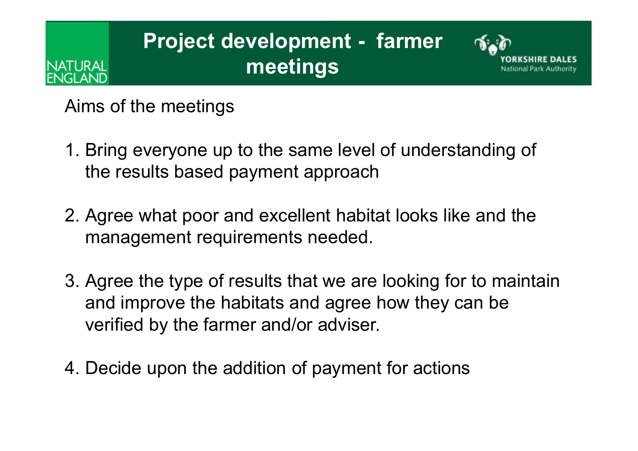## **Project development - farmer meetings**



Aims of the meetings

**\TURAI** 

- 1. Bring everyone up to the same level of understanding of the results based payment approach
- 2. Agree what poor and excellent habitat looks like and the management requirements needed.
- 3. Agree the type of results that we are looking for to maintain and improve the habitats and agree how they can be verified by the farmer and/or adviser.
- 4. Decide upon the addition of payment for actions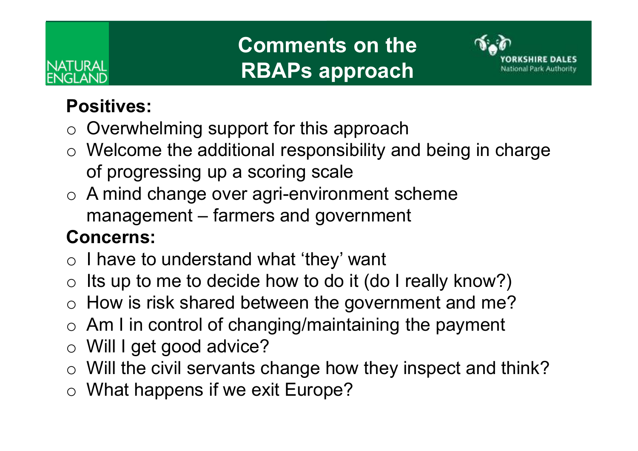# ATURAL

## **Comments on the RBAPs approach**



#### **Positives:**

- o Overwhelming support for this approach
- $\circ$  Welcome the additional responsibility and being in charge of progressing up a scoring scale
- o A mind change over agri-environment scheme management – farmers and government

#### **Concerns:**

- o I have to understand what 'they' want
- oIts up to me to decide how to do it (do I really know?)
- $\Omega$ How is risk shared between the government and me?
- o Am I in control of changing/maintaining the payment
- o Will I get good advice?
- o Will the civil servants change how they inspect and think?
- $\circ$  What happens if we exit Europe?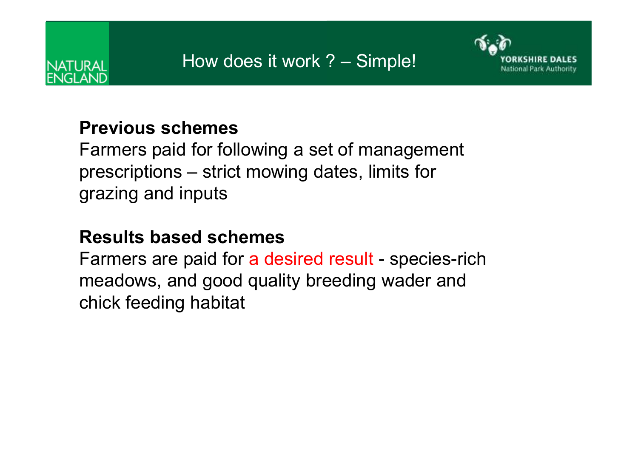

#### **Previous schemes**

Farmers paid for following a set of management prescriptions – strict mowing dates, limits for grazing and inputs

#### **Results based schemes**

Farmers are paid for a desired result - species-rich meadows, and good quality breeding wader and chick feeding habitat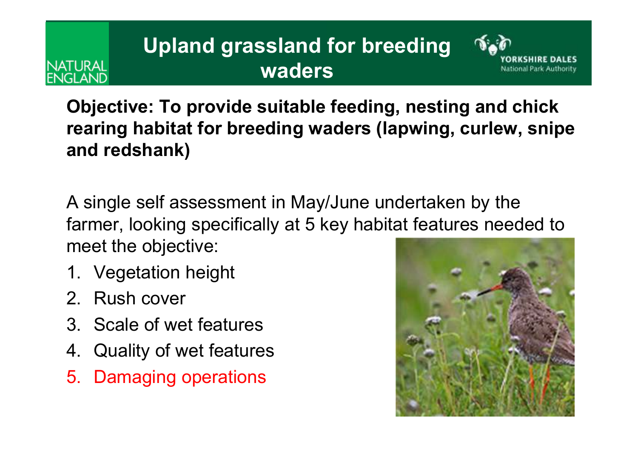## **Upland grassland for breeding waders**



**Objective: To provide suitable feeding, nesting and chick rearing habitat for breeding waders (lapwing, curlew, snipe and redshank)**

A single self assessment in May/June undertaken by the farmer, looking specifically at 5 key habitat features needed to meet the objective:

- 1. Vegetation height
- 2. Rush cover

ATURAI

IGI ANIT

- 3. Scale of wet features
- 4. Quality of wet features
- 5. Damaging operations

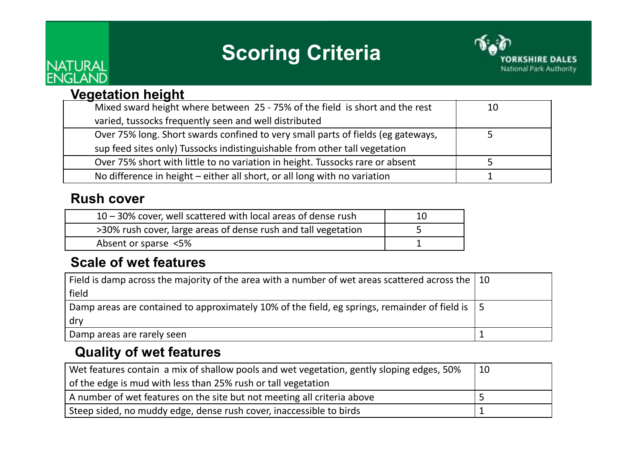## **Scoring Criteria**



#### **Vegetation height**

NATURAL<br>ENGLAND

| Mixed sward height where between 25 - 75% of the field is short and the rest     | 10 |  |
|----------------------------------------------------------------------------------|----|--|
| varied, tussocks frequently seen and well distributed                            |    |  |
| Over 75% long. Short swards confined to very small parts of fields (eg gateways, |    |  |
| sup feed sites only) Tussocks indistinguishable from other tall vegetation       |    |  |
| Over 75% short with little to no variation in height. Tussocks rare or absent    |    |  |
| No difference in height – either all short, or all long with no variation        |    |  |
|                                                                                  |    |  |

#### **Rush cover**

| $10 - 30\%$ cover, well scattered with local areas of dense rush |  |
|------------------------------------------------------------------|--|
| >30% rush cover, large areas of dense rush and tall vegetation   |  |
| Absent or sparse <5%                                             |  |
|                                                                  |  |

#### **Scale of wet features**

| Field is damp across the majority of the area with a number of wet areas scattered across the $\vert$ 10 |  |
|----------------------------------------------------------------------------------------------------------|--|
| field                                                                                                    |  |
| Damp areas are contained to approximately 10% of the field, eg springs, remainder of field is $\vert$ 5  |  |
| dry                                                                                                      |  |
| Damp areas are rarely seen                                                                               |  |

#### **Quality of wet features**

| Wet features contain a mix of shallow pools and wet vegetation, gently sloping edges, 50% | 10 |
|-------------------------------------------------------------------------------------------|----|
| of the edge is mud with less than 25% rush or tall vegetation                             |    |
| A number of wet features on the site but not meeting all criteria above                   |    |
| Steep sided, no muddy edge, dense rush cover, inaccessible to birds                       |    |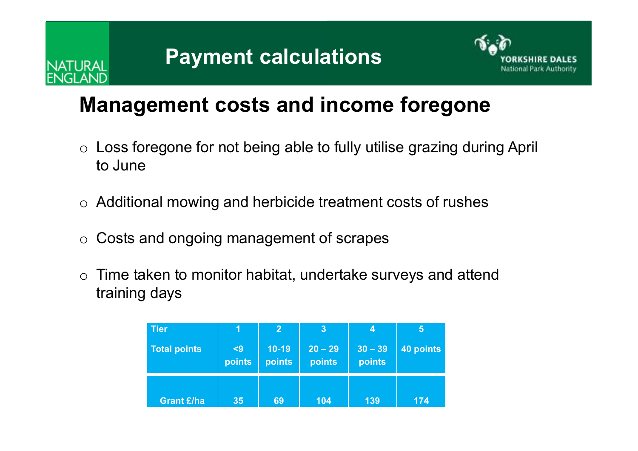



#### **Management costs and income foregone**

- o Loss foregone for not being able to fully utilise grazing during April to June
- $\circ$  Additional mowing and herbicide treatment costs of rushes
- oCosts and ongoing management of scrapes
- o Time taken to monitor habitat, undertake surveys and attend training days

| <b>Tier</b>         | Ŧ۱            | $\overline{2}$    | $\boldsymbol{3}$    | 4                   | 5         |
|---------------------|---------------|-------------------|---------------------|---------------------|-----------|
| <b>Total points</b> | $9$<br>points | $10-19$<br>points | $20 - 29$<br>points | $30 - 39$<br>points | 40 points |
| <b>Grant £/ha</b>   | 35            | 69                | 104                 | 139                 | 174       |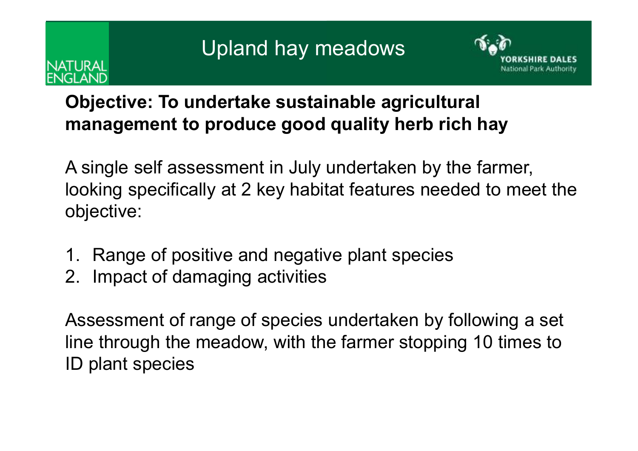# ATURAI



#### **Objective: To undertake sustainable agricultural management to produce good quality herb rich hay**

A single self assessment in July undertaken by the farmer, looking specifically at 2 key habitat features needed to meet the objective:

- 1. Range of positive and negative plant species
- 2. Impact of damaging activities

Assessment of range of species undertaken by following a set line through the meadow, with the farmer stopping 10 times to ID plant species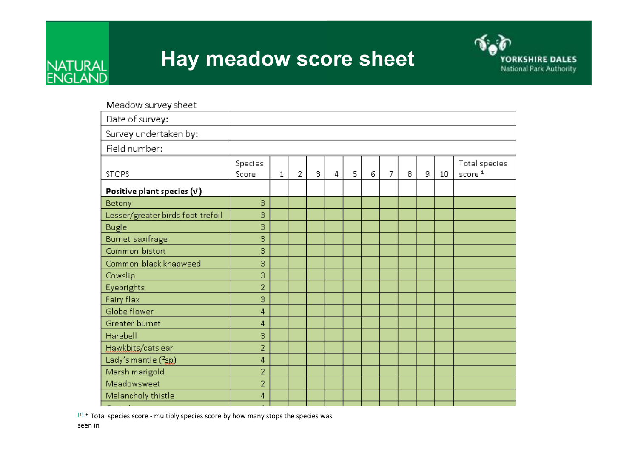

#### **Hay meadow score sheet**



Meadow survey sheet

| Date of survey:                   |                  |   |                |   |                |   |   |                |   |    |    |                                     |
|-----------------------------------|------------------|---|----------------|---|----------------|---|---|----------------|---|----|----|-------------------------------------|
| Survey undertaken by:             |                  |   |                |   |                |   |   |                |   |    |    |                                     |
| Field number:                     |                  |   |                |   |                |   |   |                |   |    |    |                                     |
| <b>STOPS</b>                      | Species<br>Score | 1 | $\overline{2}$ | 3 | $\overline{4}$ | 5 | 6 | $\overline{7}$ | 8 | 9. | 10 | Total species<br>score <sup>1</sup> |
| Positive plant species $(v)$      |                  |   |                |   |                |   |   |                |   |    |    |                                     |
| Betony                            | З                |   |                |   |                |   |   |                |   |    |    |                                     |
| Lesser/greater birds foot trefoil | З                |   |                |   |                |   |   |                |   |    |    |                                     |
| <b>Bugle</b>                      | З                |   |                |   |                |   |   |                |   |    |    |                                     |
| <b>Burnet saxifrage</b>           | З                |   |                |   |                |   |   |                |   |    |    |                                     |
| Common bistort                    | З                |   |                |   |                |   |   |                |   |    |    |                                     |
| Common black knapweed             | з                |   |                |   |                |   |   |                |   |    |    |                                     |
| Cowslip                           | З                |   |                |   |                |   |   |                |   |    |    |                                     |
| Eyebrights                        | $\overline{2}$   |   |                |   |                |   |   |                |   |    |    |                                     |
| Fairy flax                        | З                |   |                |   |                |   |   |                |   |    |    |                                     |
| Globe flower                      | 4                |   |                |   |                |   |   |                |   |    |    |                                     |
| Greater burnet                    | 4                |   |                |   |                |   |   |                |   |    |    |                                     |
| Harebell                          | З                |   |                |   |                |   |   |                |   |    |    |                                     |
| Hawkbits/cats ear                 | $\overline{2}$   |   |                |   |                |   |   |                |   |    |    |                                     |
| Lady's mantle (2 <sub>SD</sub> )  | 4                |   |                |   |                |   |   |                |   |    |    |                                     |
| Marsh marigold                    | $\overline{2}$   |   |                |   |                |   |   |                |   |    |    |                                     |
| Meadowsweet                       | $\overline{2}$   |   |                |   |                |   |   |                |   |    |    |                                     |
| Melancholy thistle                | 4                |   |                |   |                |   |   |                |   |    |    |                                     |
| <b>Contract Contract</b>          |                  |   |                |   |                |   |   |                |   |    |    |                                     |

 $[1]$  \* Total species score - multiply species score by how many stops the species was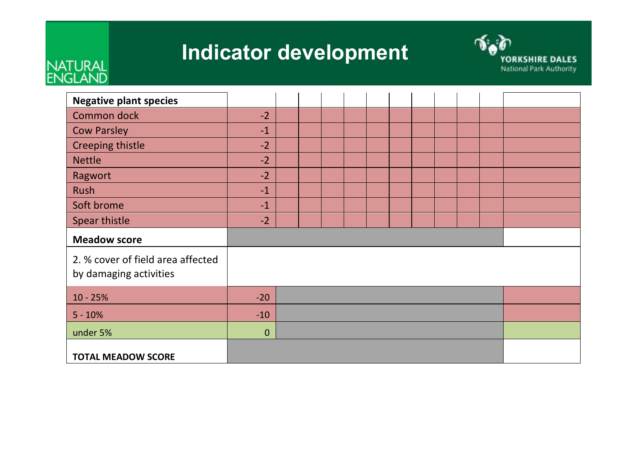### **Indicator development**



## NATURAL<br>ENGLAND

| <b>Negative plant species</b>                               |                  |  |  |  |  |  |  |  |  |  |
|-------------------------------------------------------------|------------------|--|--|--|--|--|--|--|--|--|
| Common dock                                                 | $-2$             |  |  |  |  |  |  |  |  |  |
| <b>Cow Parsley</b>                                          | $-1$             |  |  |  |  |  |  |  |  |  |
| Creeping thistle                                            | $-2$             |  |  |  |  |  |  |  |  |  |
| <b>Nettle</b>                                               | $-2$             |  |  |  |  |  |  |  |  |  |
| Ragwort                                                     | $-2$             |  |  |  |  |  |  |  |  |  |
| Rush                                                        | $-1$             |  |  |  |  |  |  |  |  |  |
| Soft brome                                                  | $-1$             |  |  |  |  |  |  |  |  |  |
| Spear thistle                                               | $-2$             |  |  |  |  |  |  |  |  |  |
| <b>Meadow score</b>                                         |                  |  |  |  |  |  |  |  |  |  |
| 2. % cover of field area affected<br>by damaging activities |                  |  |  |  |  |  |  |  |  |  |
| $10 - 25%$                                                  | $-20$            |  |  |  |  |  |  |  |  |  |
| $5 - 10%$                                                   | $-10$            |  |  |  |  |  |  |  |  |  |
| under 5%                                                    | $\boldsymbol{0}$ |  |  |  |  |  |  |  |  |  |
| <b>TOTAL MEADOW SCORE</b>                                   |                  |  |  |  |  |  |  |  |  |  |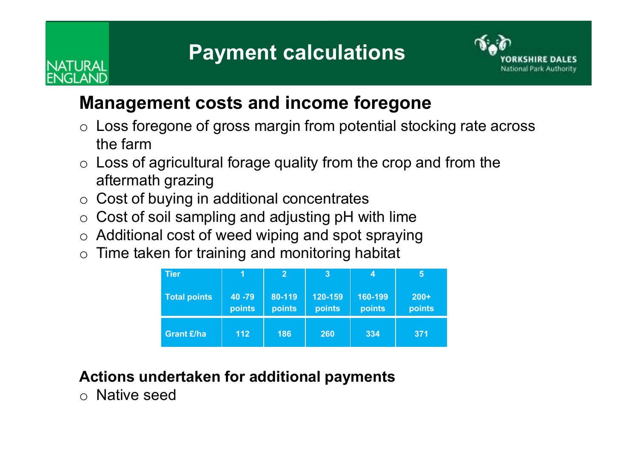## **Payment calculations**



#### **Management costs and income foregone**

- o Loss foregone of gross margin from potential stocking rate across the farm
- $\circ$  Loss of agricultural forage quality from the crop and from the aftermath grazing
- o Cost of buying in additional concentrates
- o Cost of soil sampling and adjusting pH with lime
- o Additional cost of weed wiping and spot spraying
- $\circ$  Time taken for training and monitoring habitat

| <b>Tier</b>         |                   | $\overline{2}$   | 3                 | 4                 | 5                |
|---------------------|-------------------|------------------|-------------------|-------------------|------------------|
| <b>Total points</b> | 40 - 79<br>points | 80-119<br>points | 120-159<br>points | 160-199<br>points | $200+$<br>points |
| <b>Grant £/ha</b>   | 112               | 186              | 260               | 334               | 371              |

#### **Actions undertaken for additional payments**

o Native seed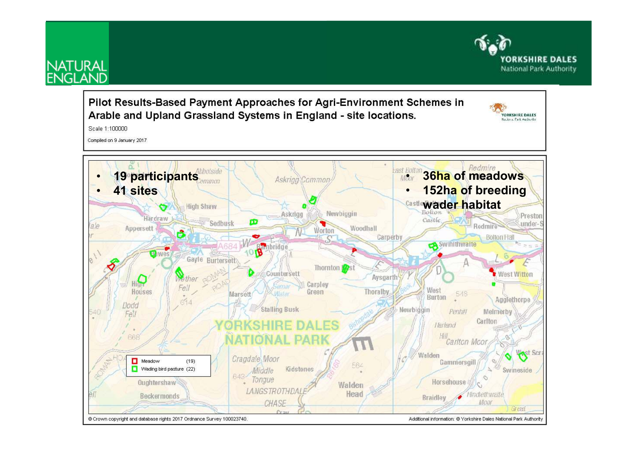

## **NATURAL**<br>ENGLAND

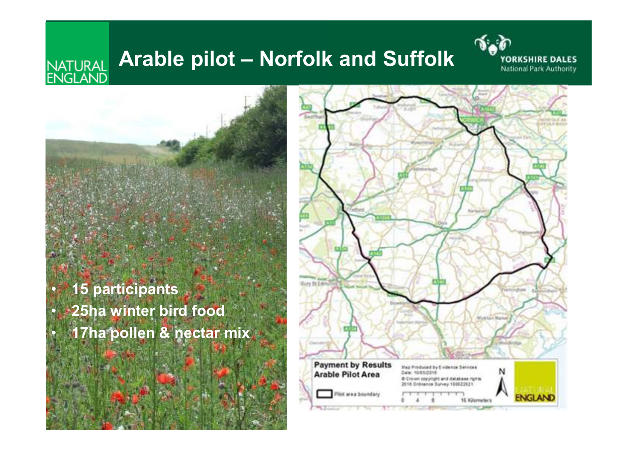#### **Arable pilot – Norfolk and Suffolk** NATURAL<br>ENGLAND



 **15 participants 25ha winter bird food17ha pollen & nectar mix**

•

•

•

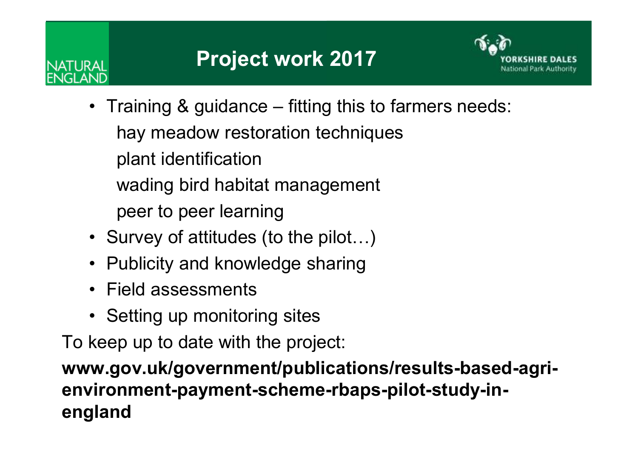# JTI IR AI



- Training & guidance fitting this to farmers needs: hay meadow restoration techniquesplant identificationwading bird habitat managementpeer to peer learning
- Survey of attitudes (to the pilot…)
- Publicity and knowledge sharing
- Field assessments
- Setting up monitoring sites

To keep up to date with the project:

**www.gov.uk/government/publications/results-based-agrienvironment-payment-scheme-rbaps-pilot-study-inengland**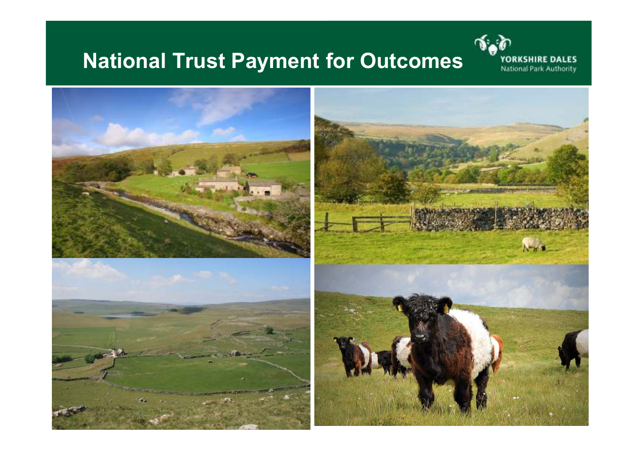## **National Trust Payment for Outcomes**



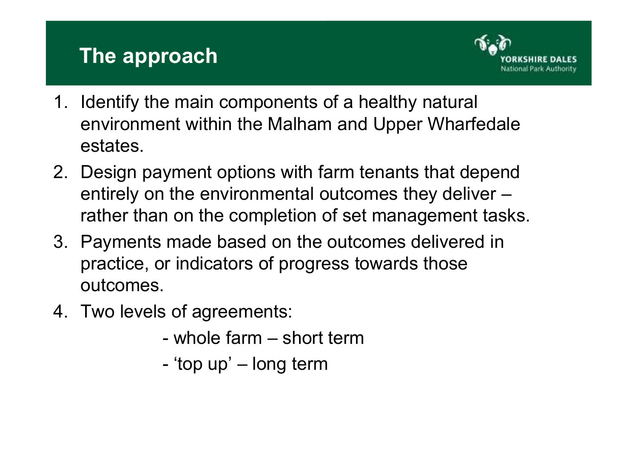#### **The approach**



- 1. Identify the main components of a healthy natural environment within the Malham and Upper Wharfedale estates.
- 2. Design payment options with farm tenants that depend entirely on the environmental outcomes they deliver –rather than on the completion of set management tasks.
- 3. Payments made based on the outcomes delivered in practice, or indicators of progress towards those outcomes.
- 4. Two levels of agreements:
	- whole farm – short term
	- -'top up' – long term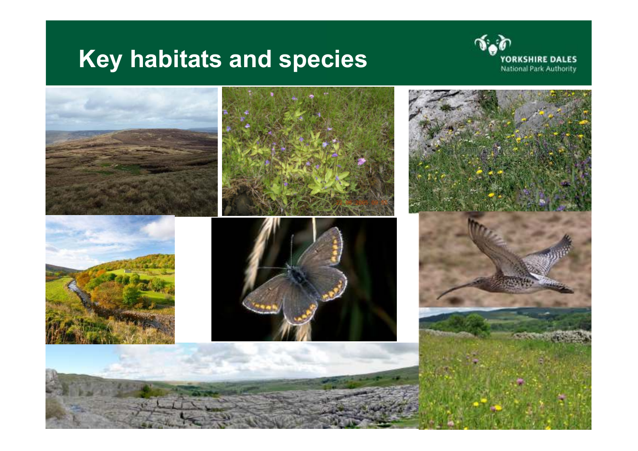## **Key habitats and species**



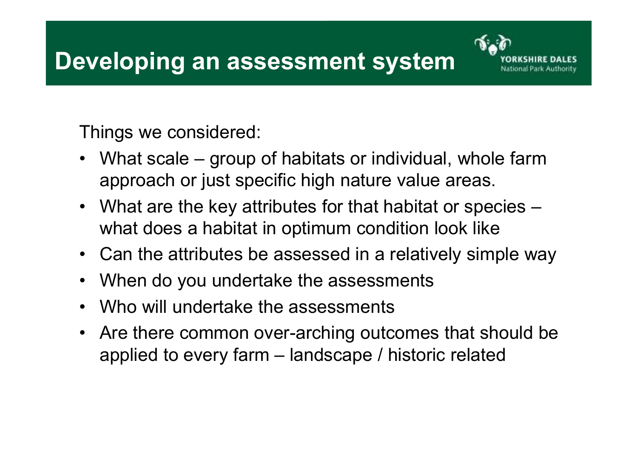

Things we considered:

- $\bullet$  What scale – group of habitats or individual, whole farm approach or just specific high nature value areas.
- What are the key attributes for that habitat or species what does a habitat in optimum condition look like
- Can the attributes be assessed in a relatively simple way
- $\bullet$ When do you undertake the assessments
- $\bullet$ Who will undertake the assessments
- Are there common over-arching outcomes that should be applied to every farm – landscape / historic related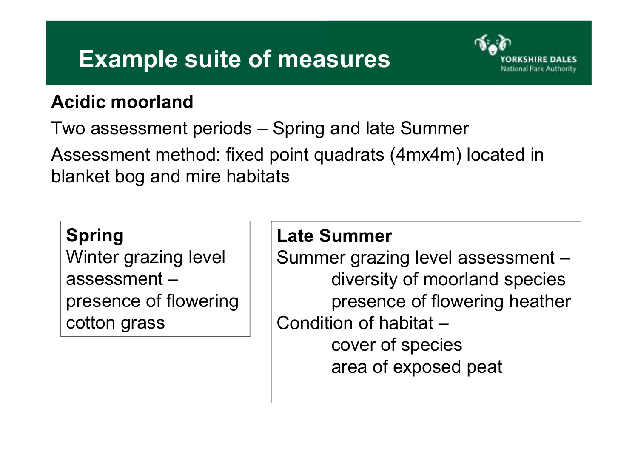## **Example suite of measures**



#### **Acidic moorland**

Two assessment periods – Spring and late Summer Assessment method: fixed point quadrats (4mx4m) located in blanket bog and mire habitats

#### **Spring**

 Winter grazing level assessment – presence of flowering cotton grass

#### **Late Summer**

 Summer grazing level assessment – diversity of moorland species presence of flowering heatherCondition of habitat – cover of speciesarea of exposed peat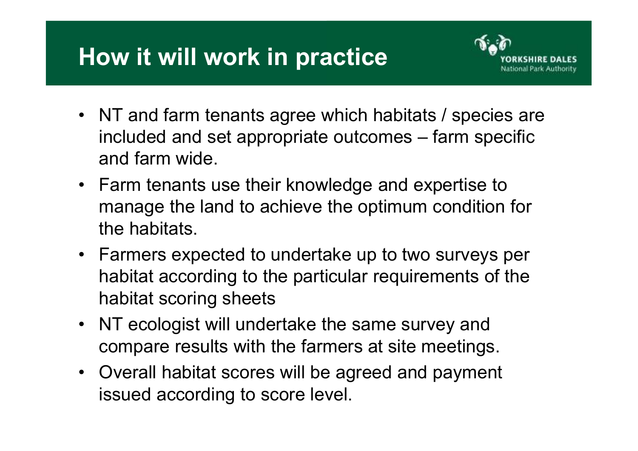## **How it will work in practice**



- NT and farm tenants agree which habitats / species are<br>included and act annualists automase. farm anothic included and set appropriate outcomes – farm specific and farm wide.
- Farm tenants use their knowledge and expertise to <br>measure the land to sehious the entimy measuralities manage the land to achieve the optimum condition for the habitats.
- Farmers expected to undertake up to two surveys per habitat according to the particular requirements of thehabitat scoring sheets
- NT ecologist will undertake the same survey and compare results with the farmers at site meetings.
- Overall habitat scores will be agreed and payment issued according to score level.